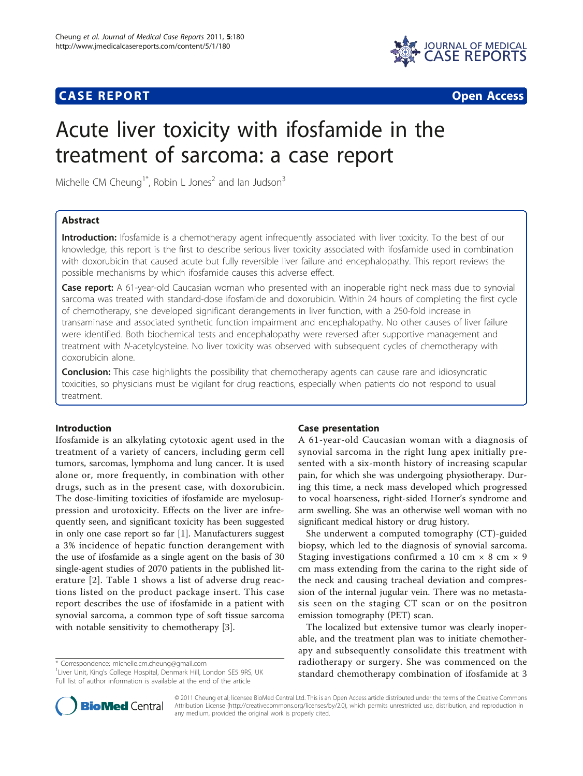## **CASE REPORT CASE REPORT CASE REPORT**



# Acute liver toxicity with ifosfamide in the treatment of sarcoma: a case report

Michelle CM Cheung<sup>1\*</sup>, Robin L Jones<sup>2</sup> and Ian Judson<sup>3</sup>

## Abstract

Introduction: Ifosfamide is a chemotherapy agent infrequently associated with liver toxicity. To the best of our knowledge, this report is the first to describe serious liver toxicity associated with ifosfamide used in combination with doxorubicin that caused acute but fully reversible liver failure and encephalopathy. This report reviews the possible mechanisms by which ifosfamide causes this adverse effect.

Case report: A 61-year-old Caucasian woman who presented with an inoperable right neck mass due to synovial sarcoma was treated with standard-dose ifosfamide and doxorubicin. Within 24 hours of completing the first cycle of chemotherapy, she developed significant derangements in liver function, with a 250-fold increase in transaminase and associated synthetic function impairment and encephalopathy. No other causes of liver failure were identified. Both biochemical tests and encephalopathy were reversed after supportive management and treatment with N-acetylcysteine. No liver toxicity was observed with subsequent cycles of chemotherapy with doxorubicin alone.

**Conclusion:** This case highlights the possibility that chemotherapy agents can cause rare and idiosyncratic toxicities, so physicians must be vigilant for drug reactions, especially when patients do not respond to usual treatment.

## Introduction

Ifosfamide is an alkylating cytotoxic agent used in the treatment of a variety of cancers, including germ cell tumors, sarcomas, lymphoma and lung cancer. It is used alone or, more frequently, in combination with other drugs, such as in the present case, with doxorubicin. The dose-limiting toxicities of ifosfamide are myelosuppression and urotoxicity. Effects on the liver are infrequently seen, and significant toxicity has been suggested in only one case report so far [[1](#page-3-0)]. Manufacturers suggest a 3% incidence of hepatic function derangement with the use of ifosfamide as a single agent on the basis of 30 single-agent studies of 2070 patients in the published literature [[2](#page-3-0)]. Table [1](#page-1-0) shows a list of adverse drug reactions listed on the product package insert. This case report describes the use of ifosfamide in a patient with synovial sarcoma, a common type of soft tissue sarcoma with notable sensitivity to chemotherapy [[3\]](#page-3-0).

#### Case presentation

A 61-year-old Caucasian woman with a diagnosis of synovial sarcoma in the right lung apex initially presented with a six-month history of increasing scapular pain, for which she was undergoing physiotherapy. During this time, a neck mass developed which progressed to vocal hoarseness, right-sided Horner's syndrome and arm swelling. She was an otherwise well woman with no significant medical history or drug history.

She underwent a computed tomography (CT)-guided biopsy, which led to the diagnosis of synovial sarcoma. Staging investigations confirmed a 10 cm  $\times$  8 cm  $\times$  9 cm mass extending from the carina to the right side of the neck and causing tracheal deviation and compression of the internal jugular vein. There was no metastasis seen on the staging CT scan or on the positron emission tomography (PET) scan.

The localized but extensive tumor was clearly inoperable, and the treatment plan was to initiate chemotherapy and subsequently consolidate this treatment with radiotherapy or surgery. She was commenced on the standard chemotherapy combination of ifosfamide at 3



© 2011 Cheung et al; licensee BioMed Central Ltd. This is an Open Access article distributed under the terms of the Creative Commons Attribution License [\(http://creativecommons.org/licenses/by/2.0](http://creativecommons.org/licenses/by/2.0)), which permits unrestricted use, distribution, and reproduction in any medium, provided the original work is properly cited.

<sup>\*</sup> Correspondence: [michelle.cm.cheung@gmail.com](mailto:michelle.cm.cheung@gmail.com)

<sup>&</sup>lt;sup>1</sup> Liver Unit, King's College Hospital, Denmark Hill, London SE5 9RS, UK Full list of author information is available at the end of the article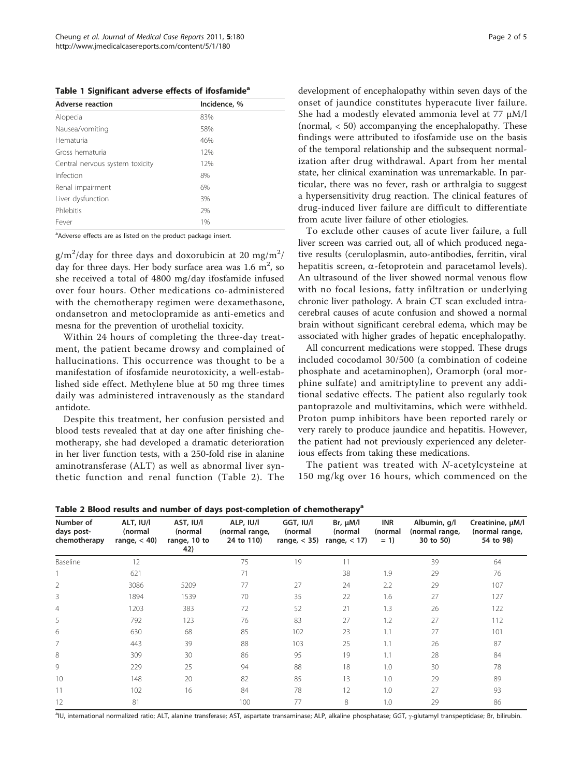<span id="page-1-0"></span>Table 1 Significant adverse effects of ifosfamide<sup>a</sup>

| <b>Adverse reaction</b>         | Incidence, % |  |
|---------------------------------|--------------|--|
| Alopecia                        | 83%          |  |
| Nausea/vomiting                 | 58%          |  |
| Hematuria                       | 46%          |  |
| Gross hematuria                 | 12%          |  |
| Central nervous system toxicity | 12%          |  |
| Infection                       | 8%           |  |
| Renal impairment                | 6%           |  |
| Liver dysfunction               | 3%           |  |
| Phlebitis                       | 2%           |  |
| Fever                           | 1%           |  |

<sup>a</sup>Adverse effects are as listed on the product package insert.

g/m $^2$ /day for three days and doxorubicin at 20 mg/m $^2$ / day for three days. Her body surface area was  $1.6 \text{ m}^2$ , so she received a total of 4800 mg/day ifosfamide infused over four hours. Other medications co-administered with the chemotherapy regimen were dexamethasone, ondansetron and metoclopramide as anti-emetics and mesna for the prevention of urothelial toxicity.

Within 24 hours of completing the three-day treatment, the patient became drowsy and complained of hallucinations. This occurrence was thought to be a manifestation of ifosfamide neurotoxicity, a well-established side effect. Methylene blue at 50 mg three times daily was administered intravenously as the standard antidote.

Despite this treatment, her confusion persisted and blood tests revealed that at day one after finishing chemotherapy, she had developed a dramatic deterioration in her liver function tests, with a 250-fold rise in alanine aminotransferase (ALT) as well as abnormal liver synthetic function and renal function (Table 2). The development of encephalopathy within seven days of the onset of jaundice constitutes hyperacute liver failure. She had a modestly elevated ammonia level at 77 μM/l (normal,  $<$  50) accompanying the encephalopathy. These findings were attributed to ifosfamide use on the basis of the temporal relationship and the subsequent normalization after drug withdrawal. Apart from her mental state, her clinical examination was unremarkable. In particular, there was no fever, rash or arthralgia to suggest a hypersensitivity drug reaction. The clinical features of drug-induced liver failure are difficult to differentiate from acute liver failure of other etiologies.

To exclude other causes of acute liver failure, a full liver screen was carried out, all of which produced negative results (ceruloplasmin, auto-antibodies, ferritin, viral hepatitis screen,  $\alpha$ -fetoprotein and paracetamol levels). An ultrasound of the liver showed normal venous flow with no focal lesions, fatty infiltration or underlying chronic liver pathology. A brain CT scan excluded intracerebral causes of acute confusion and showed a normal brain without significant cerebral edema, which may be associated with higher grades of hepatic encephalopathy.

All concurrent medications were stopped. These drugs included cocodamol 30/500 (a combination of codeine phosphate and acetaminophen), Oramorph (oral morphine sulfate) and amitriptyline to prevent any additional sedative effects. The patient also regularly took pantoprazole and multivitamins, which were withheld. Proton pump inhibitors have been reported rarely or very rarely to produce jaundice and hepatitis. However, the patient had not previously experienced any deleterious effects from taking these medications.

The patient was treated with N-acetylcysteine at 150 mg/kg over 16 hours, which commenced on the

| Number of<br>days post-<br>chemotherapy | ALT, IU/I<br>(normal<br>range, $<$ 40) | AST, IU/I<br>(normal<br>range, 10 to<br>42) | ALP, IU/I<br>(normal range,<br>24 to 110) | GGT, IU/I<br>(normal<br>range, $<$ 35) | $Br, \mu M/I$<br>(normal<br>range, $<$ 17) | <b>INR</b><br>(normal<br>$= 1$ | Albumin, q/l<br>(normal range,<br>30 to 50) | Creatinine, µM/l<br>(normal range,<br>54 to 98) |
|-----------------------------------------|----------------------------------------|---------------------------------------------|-------------------------------------------|----------------------------------------|--------------------------------------------|--------------------------------|---------------------------------------------|-------------------------------------------------|
| Baseline                                | 12                                     |                                             | 75                                        | 19                                     | 11                                         |                                | 39                                          | 64                                              |
|                                         | 621                                    |                                             | 71                                        |                                        | 38                                         | 1.9                            | 29                                          | 76                                              |
| $\overline{2}$                          | 3086                                   | 5209                                        | 77                                        | 27                                     | 24                                         | 2.2                            | 29                                          | 107                                             |
| 3                                       | 1894                                   | 1539                                        | 70                                        | 35                                     | 22                                         | 1.6                            | 27                                          | 127                                             |
| $\overline{4}$                          | 1203                                   | 383                                         | 72                                        | 52                                     | 21                                         | 1.3                            | 26                                          | 122                                             |
| 5                                       | 792                                    | 123                                         | 76                                        | 83                                     | 27                                         | 1.2                            | 27                                          | 112                                             |
| 6                                       | 630                                    | 68                                          | 85                                        | 102                                    | 23                                         | 1.1                            | 27                                          | 101                                             |
| 7                                       | 443                                    | 39                                          | 88                                        | 103                                    | 25                                         | 1.1                            | 26                                          | 87                                              |
| 8                                       | 309                                    | 30                                          | 86                                        | 95                                     | 19                                         | 1.1                            | 28                                          | 84                                              |
| 9                                       | 229                                    | 25                                          | 94                                        | 88                                     | 18                                         | 1.0                            | 30                                          | 78                                              |
| 10                                      | 148                                    | 20                                          | 82                                        | 85                                     | 13                                         | 1.0                            | 29                                          | 89                                              |
| 11                                      | 102                                    | 16                                          | 84                                        | 78                                     | 12                                         | 1.0                            | 27                                          | 93                                              |
| 12                                      | 81                                     |                                             | 100                                       | 77                                     | 8                                          | 1.0                            | 29                                          | 86                                              |

Table 2 Blood results and number of days post-completion of chemotherapy<sup>a</sup>

<sup>a</sup>lU, international normalized ratio; ALT, alanine transferase; AST, aspartate transaminase; ALP, alkaline phosphatase; GGT,  $\gamma$ -glutamyl transpeptidase; Br, bilirubin.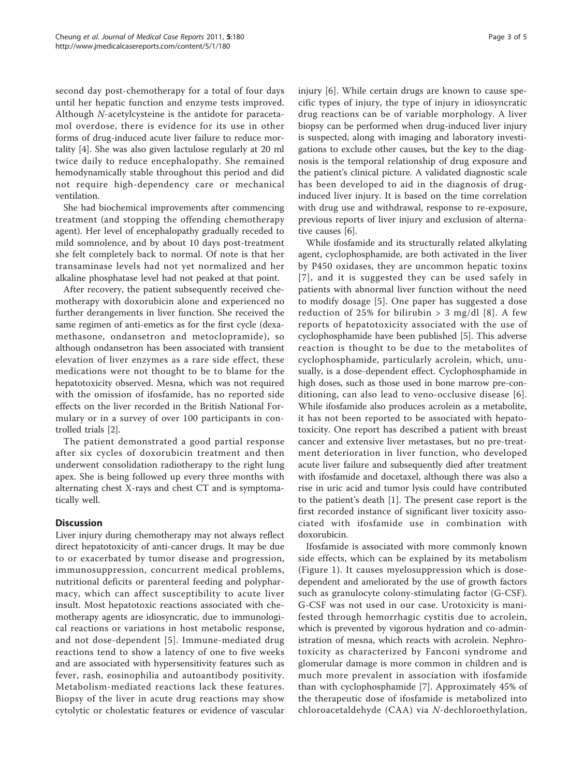second day post-chemotherapy for a total of four days until her hepatic function and enzyme tests improved. Although N-acetylcysteine is the antidote for paracetamol overdose, there is evidence for its use in other forms of drug-induced acute liver failure to reduce mortality [[4](#page-3-0)]. She was also given lactulose regularly at 20 ml twice daily to reduce encephalopathy. She remained hemodynamically stable throughout this period and did not require high-dependency care or mechanical ventilation.

She had biochemical improvements after commencing treatment (and stopping the offending chemotherapy agent). Her level of encephalopathy gradually receded to mild somnolence, and by about 10 days post-treatment she felt completely back to normal. Of note is that her transaminase levels had not yet normalized and her alkaline phosphatase level had not peaked at that point.

After recovery, the patient subsequently received chemotherapy with doxorubicin alone and experienced no further derangements in liver function. She received the same regimen of anti-emetics as for the first cycle (dexamethasone, ondansetron and metoclopramide), so although ondansetron has been associated with transient elevation of liver enzymes as a rare side effect, these medications were not thought to be to blame for the hepatotoxicity observed. Mesna, which was not required with the omission of ifosfamide, has no reported side effects on the liver recorded in the British National Formulary or in a survey of over 100 participants in controlled trials [[2\]](#page-3-0).

The patient demonstrated a good partial response after six cycles of doxorubicin treatment and then underwent consolidation radiotherapy to the right lung apex. She is being followed up every three months with alternating chest X-rays and chest CT and is symptomatically well.

## **Discussion**

Liver injury during chemotherapy may not always reflect direct hepatotoxicity of anti-cancer drugs. It may be due to or exacerbated by tumor disease and progression, immunosuppression, concurrent medical problems, nutritional deficits or parenteral feeding and polypharmacy, which can affect susceptibility to acute liver insult. Most hepatotoxic reactions associated with chemotherapy agents are idiosyncratic, due to immunological reactions or variations in host metabolic response, and not dose-dependent [[5\]](#page-3-0). Immune-mediated drug reactions tend to show a latency of one to five weeks and are associated with hypersensitivity features such as fever, rash, eosinophilia and autoantibody positivity. Metabolism-mediated reactions lack these features. Biopsy of the liver in acute drug reactions may show cytolytic or cholestatic features or evidence of vascular injury [[6\]](#page-3-0). While certain drugs are known to cause specific types of injury, the type of injury in idiosyncratic drug reactions can be of variable morphology. A liver biopsy can be performed when drug-induced liver injury is suspected, along with imaging and laboratory investigations to exclude other causes, but the key to the diagnosis is the temporal relationship of drug exposure and the patient's clinical picture. A validated diagnostic scale has been developed to aid in the diagnosis of druginduced liver injury. It is based on the time correlation with drug use and withdrawal, response to re-exposure, previous reports of liver injury and exclusion of alternative causes [[6\]](#page-3-0).

While ifosfamide and its structurally related alkylating agent, cyclophosphamide, are both activated in the liver by P450 oxidases, they are uncommon hepatic toxins [[7\]](#page-4-0), and it is suggested they can be used safely in patients with abnormal liver function without the need to modify dosage [[5\]](#page-3-0). One paper has suggested a dose reduction of 25% for bilirubin > 3 mg/dl [[8\]](#page-4-0). A few reports of hepatotoxicity associated with the use of cyclophosphamide have been published [\[5](#page-3-0)]. This adverse reaction is thought to be due to the metabolites of cyclophosphamide, particularly acrolein, which, unusually, is a dose-dependent effect. Cyclophosphamide in high doses, such as those used in bone marrow pre-conditioning, can also lead to veno-occlusive disease [[6\]](#page-3-0). While ifosfamide also produces acrolein as a metabolite, it has not been reported to be associated with hepatotoxicity. One report has described a patient with breast cancer and extensive liver metastases, but no pre-treatment deterioration in liver function, who developed acute liver failure and subsequently died after treatment with ifosfamide and docetaxel, although there was also a rise in uric acid and tumor lysis could have contributed to the patient's death [[1\]](#page-3-0). The present case report is the first recorded instance of significant liver toxicity associated with ifosfamide use in combination with doxorubicin.

Ifosfamide is associated with more commonly known side effects, which can be explained by its metabolism (Figure [1](#page-3-0)). It causes myelosuppression which is dosedependent and ameliorated by the use of growth factors such as granulocyte colony-stimulating factor (G-CSF). G-CSF was not used in our case. Urotoxicity is manifested through hemorrhagic cystitis due to acrolein, which is prevented by vigorous hydration and co-administration of mesna, which reacts with acrolein. Nephrotoxicity as characterized by Fanconi syndrome and glomerular damage is more common in children and is much more prevalent in association with ifosfamide than with cyclophosphamide [[7\]](#page-4-0). Approximately 45% of the therapeutic dose of ifosfamide is metabolized into chloroacetaldehyde (CAA) via N-dechloroethylation,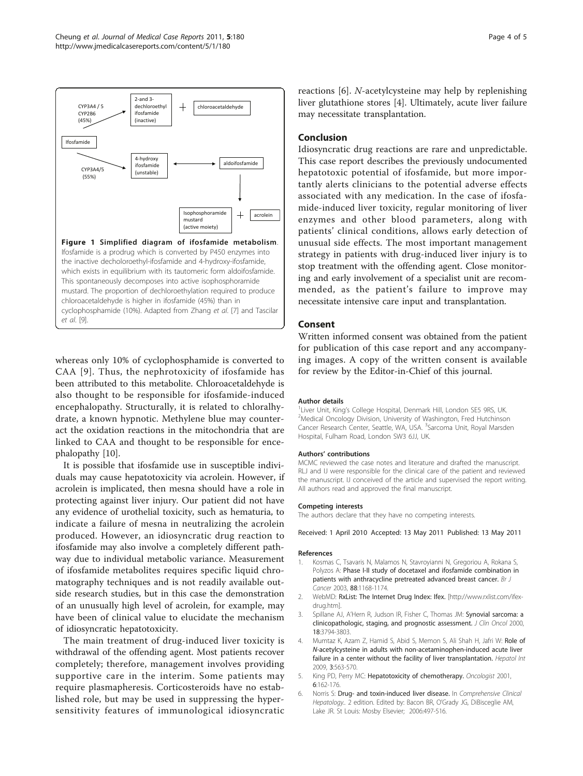<span id="page-3-0"></span>

whereas only 10% of cyclophosphamide is converted to CAA [\[9\]](#page-4-0). Thus, the nephrotoxicity of ifosfamide has been attributed to this metabolite. Chloroacetaldehyde is also thought to be responsible for ifosfamide-induced encephalopathy. Structurally, it is related to chloralhydrate, a known hypnotic. Methylene blue may counteract the oxidation reactions in the mitochondria that are linked to CAA and thought to be responsible for encephalopathy [[10\]](#page-4-0).

It is possible that ifosfamide use in susceptible individuals may cause hepatotoxicity via acrolein. However, if acrolein is implicated, then mesna should have a role in protecting against liver injury. Our patient did not have any evidence of urothelial toxicity, such as hematuria, to indicate a failure of mesna in neutralizing the acrolein produced. However, an idiosyncratic drug reaction to ifosfamide may also involve a completely different pathway due to individual metabolic variance. Measurement of ifosfamide metabolites requires specific liquid chromatography techniques and is not readily available outside research studies, but in this case the demonstration of an unusually high level of acrolein, for example, may have been of clinical value to elucidate the mechanism of idiosyncratic hepatotoxicity.

The main treatment of drug-induced liver toxicity is withdrawal of the offending agent. Most patients recover completely; therefore, management involves providing supportive care in the interim. Some patients may require plasmapheresis. Corticosteroids have no established role, but may be used in suppressing the hypersensitivity features of immunological idiosyncratic

reactions [6]. N-acetylcysteine may help by replenishing liver glutathione stores [4]. Ultimately, acute liver failure may necessitate transplantation.

### Conclusion

Idiosyncratic drug reactions are rare and unpredictable. This case report describes the previously undocumented hepatotoxic potential of ifosfamide, but more importantly alerts clinicians to the potential adverse effects associated with any medication. In the case of ifosfamide-induced liver toxicity, regular monitoring of liver enzymes and other blood parameters, along with patients' clinical conditions, allows early detection of unusual side effects. The most important management strategy in patients with drug-induced liver injury is to stop treatment with the offending agent. Close monitoring and early involvement of a specialist unit are recommended, as the patient's failure to improve may necessitate intensive care input and transplantation.

## Consent

Written informed consent was obtained from the patient for publication of this case report and any accompanying images. A copy of the written consent is available for review by the Editor-in-Chief of this journal.

#### Author details

<sup>1</sup> Liver Unit, King's College Hospital, Denmark Hill, London SE5 9RS, UK.<br><sup>2</sup> Medical Opcology Division, University of Washington, Fred Hutchinso <sup>2</sup>Medical Oncology Division, University of Washington, Fred Hutchinson Cancer Research Center, Seattle, WA, USA. <sup>3</sup>Sarcoma Unit, Royal Marsden Hospital, Fulham Road, London SW3 6JJ, UK.

#### Authors' contributions

MCMC reviewed the case notes and literature and drafted the manuscript. RLJ and IJ were responsible for the clinical care of the patient and reviewed the manuscript. IJ conceived of the article and supervised the report writing. All authors read and approved the final manuscript.

#### Competing interests

The authors declare that they have no competing interests.

Received: 1 April 2010 Accepted: 13 May 2011 Published: 13 May 2011

#### References

- 1. Kosmas C, Tsavaris N, Malamos N, Stavroyianni N, Gregoriou A, Rokana S, Polyzos A: [Phase I-II study of docetaxel and ifosfamide combination in](http://www.ncbi.nlm.nih.gov/pubmed/12698179?dopt=Abstract) [patients with anthracycline pretreated advanced breast cancer.](http://www.ncbi.nlm.nih.gov/pubmed/12698179?dopt=Abstract) Br J Cancer 2003, 88:1168-1174.
- 2. WebMD: RxList: The Internet Drug Index: Ifex. [\[http://www.rxlist.com/ifex](http://www.rxlist.com/ifex-drug.htm)[drug.htm\]](http://www.rxlist.com/ifex-drug.htm).
- 3. Spillane AJ, A'Hern R, Judson IR, Fisher C, Thomas JM: [Synovial sarcoma: a](http://www.ncbi.nlm.nih.gov/pubmed/11078492?dopt=Abstract) [clinicopathologic, staging, and prognostic assessment.](http://www.ncbi.nlm.nih.gov/pubmed/11078492?dopt=Abstract) J Clin Oncol 2000, 18:3794-3803.
- 4. Mumtaz K, Azam Z, Hamid S, Abid S, Memon S, Ali Shah H, Jafri W: Role of N-acetylcysteine in adults with non-acetaminophen-induced acute liver failure in a center without the facility of liver transplantation. Hepatol Int 2009, 3:563-570.
- 5. King PD, Perry MC: [Hepatotoxicity of chemotherapy.](http://www.ncbi.nlm.nih.gov/pubmed/11306728?dopt=Abstract) Oncologist 2001, 6:162-176.
- 6. Norris S: Drug- and toxin-induced liver disease. In Comprehensive Clinical Hepatology.. 2 edition. Edited by: Bacon BR, O'Grady JG, DiBisceglie AM, Lake JR. St Louis: Mosby Elsevier; 2006:497-516.